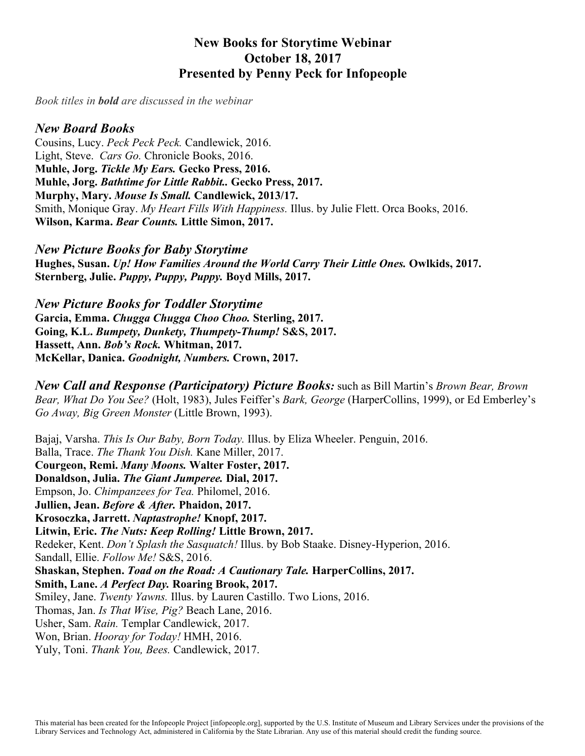# **New Books for Storytime Webinar October 18, 2017 Presented by Penny Peck for Infopeople**

*Book titles in bold are discussed in the webinar*

### *New Board Books*

Cousins, Lucy. *Peck Peck Peck.* Candlewick, 2016. Light, Steve. *Cars Go.* Chronicle Books, 2016. **Muhle, Jorg.** *Tickle My Ears.* **Gecko Press, 2016. Muhle, Jorg.** *Bathtime for Little Rabbit..* **Gecko Press, 2017. Murphy, Mary.** *Mouse Is Small.* **Candlewick, 2013/17.** Smith, Monique Gray. *My Heart Fills With Happiness.* Illus. by Julie Flett. Orca Books, 2016. **Wilson, Karma.** *Bear Counts.* **Little Simon, 2017.**

*New Picture Books for Baby Storytime* **Hughes, Susan.** *Up! How Families Around the World Carry Their Little Ones.* **Owlkids, 2017. Sternberg, Julie.** *Puppy, Puppy, Puppy.* **Boyd Mills, 2017.**

*New Picture Books for Toddler Storytime* **Garcia, Emma.** *Chugga Chugga Choo Choo.* **Sterling, 2017. Going, K.L.** *Bumpety, Dunkety, Thumpety-Thump!* **S&S, 2017. Hassett, Ann.** *Bob's Rock.* **Whitman, 2017. McKellar, Danica.** *Goodnight, Numbers.* **Crown, 2017.**

*New Call and Response (Participatory) Picture Books:* such as Bill Martin's *Brown Bear, Brown Bear, What Do You See?* (Holt, 1983), Jules Feiffer's *Bark, George* (HarperCollins, 1999), or Ed Emberley's *Go Away, Big Green Monster* (Little Brown, 1993).

Bajaj, Varsha. *This Is Our Baby, Born Today.* Illus. by Eliza Wheeler. Penguin, 2016. Balla, Trace. *The Thank You Dish.* Kane Miller, 2017. **Courgeon, Remi.** *Many Moons.* **Walter Foster, 2017. Donaldson, Julia.** *The Giant Jumperee.* **Dial, 2017.** Empson, Jo. *Chimpanzees for Tea.* Philomel, 2016. **Jullien, Jean.** *Before & After.* **Phaidon, 2017. Krosoczka, Jarrett.** *Naptastrophe!* **Knopf, 2017. Litwin, Eric.** *The Nuts: Keep Rolling!* **Little Brown, 2017.** Redeker, Kent. *Don't Splash the Sasquatch!* Illus. by Bob Staake. Disney-Hyperion, 2016. Sandall, Ellie. *Follow Me!* S&S, 2016. **Shaskan, Stephen.** *Toad on the Road: A Cautionary Tale.* **HarperCollins, 2017. Smith, Lane.** *A Perfect Day.* **Roaring Brook, 2017.** Smiley, Jane. *Twenty Yawns.* Illus. by Lauren Castillo. Two Lions, 2016. Thomas, Jan. *Is That Wise, Pig?* Beach Lane, 2016. Usher, Sam. *Rain.* Templar Candlewick, 2017. Won, Brian. *Hooray for Today!* HMH, 2016. Yuly, Toni. *Thank You, Bees.* Candlewick, 2017.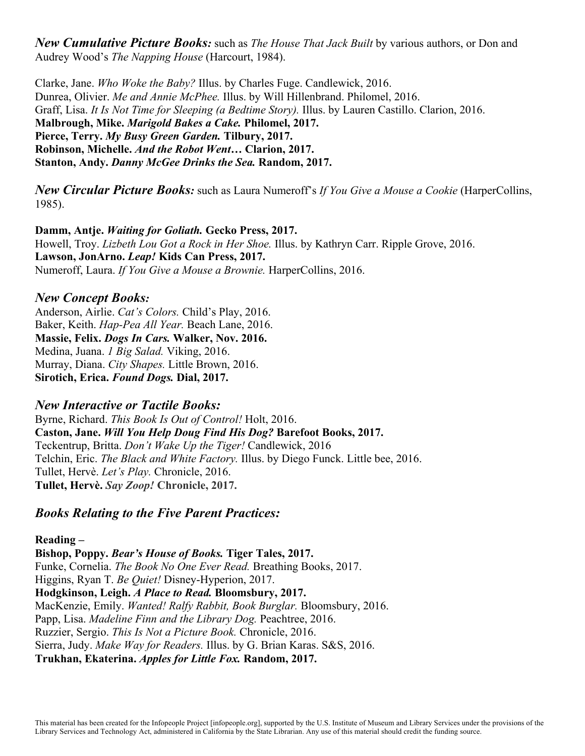*New Cumulative Picture Books:* such as *The House That Jack Built* by various authors, or Don and Audrey Wood's *The Napping House* (Harcourt, 1984).

Clarke, Jane. *Who Woke the Baby?* Illus. by Charles Fuge. Candlewick, 2016. Dunrea, Olivier. *Me and Annie McPhee.* Illus. by Will Hillenbrand. Philomel, 2016. Graff, Lisa. *It Is Not Time for Sleeping (a Bedtime Story).* Illus. by Lauren Castillo. Clarion, 2016. **Malbrough, Mike.** *Marigold Bakes a Cake.* **Philomel, 2017. Pierce, Terry.** *My Busy Green Garden.* **Tilbury, 2017. Robinson, Michelle.** *And the Robot Went…* **Clarion, 2017. Stanton, Andy.** *Danny McGee Drinks the Sea.* **Random, 2017.**

*New Circular Picture Books:* such as Laura Numeroff's *If You Give a Mouse a Cookie* (HarperCollins, 1985).

**Damm, Antje.** *Waiting for Goliath.* **Gecko Press, 2017.** Howell, Troy. *Lizbeth Lou Got a Rock in Her Shoe.* Illus. by Kathryn Carr. Ripple Grove, 2016. **Lawson, JonArno.** *Leap!* **Kids Can Press, 2017.** Numeroff, Laura. *If You Give a Mouse a Brownie.* HarperCollins, 2016.

## *New Concept Books:*

Anderson, Airlie. *Cat's Colors.* Child's Play, 2016. Baker, Keith. *Hap-Pea All Year.* Beach Lane, 2016. **Massie, Felix.** *Dogs In Cars.* **Walker, Nov. 2016.** Medina, Juana. *1 Big Salad.* Viking, 2016. Murray, Diana. *City Shapes.* Little Brown, 2016. **Sirotich, Erica.** *Found Dogs.* **Dial, 2017.**

# *New Interactive or Tactile Books:*

Byrne, Richard. *This Book Is Out of Control!* Holt, 2016. **Caston, Jane.** *Will You Help Doug Find His Dog?* **Barefoot Books, 2017.** Teckentrup, Britta. *Don't Wake Up the Tiger!* Candlewick, 2016 Telchin, Eric. *The Black and White Factory.* Illus. by Diego Funck. Little bee, 2016. Tullet, Hervè. *Let's Play.* Chronicle, 2016. **Tullet, Hervè.** *Say Zoop!* **Chronicle, 2017.**

# *Books Relating to the Five Parent Practices:*

# **Reading –**

**Bishop, Poppy.** *Bear's House of Books.* **Tiger Tales, 2017.** Funke, Cornelia. *The Book No One Ever Read.* Breathing Books, 2017. Higgins, Ryan T. *Be Quiet!* Disney-Hyperion, 2017. **Hodgkinson, Leigh.** *A Place to Read.* **Bloomsbury, 2017.** MacKenzie, Emily. *Wanted! Ralfy Rabbit, Book Burglar.* Bloomsbury, 2016. Papp, Lisa. *Madeline Finn and the Library Dog.* Peachtree, 2016. Ruzzier, Sergio. *This Is Not a Picture Book.* Chronicle, 2016. Sierra, Judy. *Make Way for Readers.* Illus. by G. Brian Karas. S&S, 2016. **Trukhan, Ekaterina.** *Apples for Little Fox.* **Random, 2017.**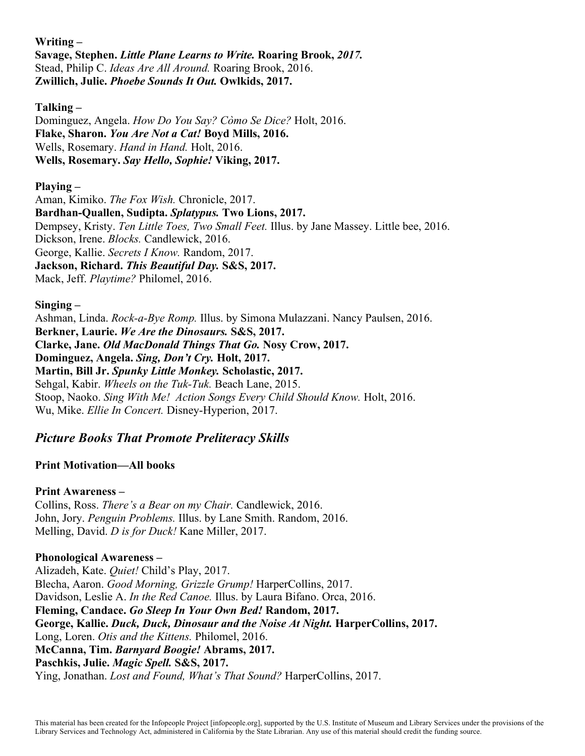**Writing – Savage, Stephen.** *Little Plane Learns to Write.* **Roaring Brook,** *2017.* Stead, Philip C. *Ideas Are All Around.* Roaring Brook, 2016. **Zwillich, Julie.** *Phoebe Sounds It Out.* **Owlkids, 2017.**

**Talking –**

Dominguez, Angela. *How Do You Say? Còmo Se Dice?* Holt, 2016. **Flake, Sharon.** *You Are Not a Cat!* **Boyd Mills, 2016.** Wells, Rosemary. *Hand in Hand.* Holt, 2016. **Wells, Rosemary.** *Say Hello, Sophie!* **Viking, 2017.**

#### **Playing –**

Aman, Kimiko. *The Fox Wish.* Chronicle, 2017. **Bardhan-Quallen, Sudipta.** *Splatypus.* **Two Lions, 2017.** Dempsey, Kristy. *Ten Little Toes, Two Small Feet.* Illus. by Jane Massey. Little bee, 2016. Dickson, Irene. *Blocks.* Candlewick, 2016. George, Kallie. *Secrets I Know.* Random, 2017. **Jackson, Richard.** *This Beautiful Day.* **S&S, 2017.** Mack, Jeff. *Playtime?* Philomel, 2016.

### **Singing –**

Ashman, Linda. *Rock-a-Bye Romp.* Illus. by Simona Mulazzani. Nancy Paulsen, 2016. **Berkner, Laurie.** *We Are the Dinosaurs.* **S&S, 2017. Clarke, Jane.** *Old MacDonald Things That Go.* **Nosy Crow, 2017. Dominguez, Angela.** *Sing, Don't Cry.* **Holt, 2017. Martin, Bill Jr.** *Spunky Little Monkey.* **Scholastic, 2017.** Sehgal, Kabir. *Wheels on the Tuk-Tuk.* Beach Lane, 2015. Stoop, Naoko. *Sing With Me! Action Songs Every Child Should Know.* Holt, 2016. Wu, Mike. *Ellie In Concert.* Disney-Hyperion, 2017.

# *Picture Books That Promote Preliteracy Skills*

#### **Print Motivation—All books**

#### **Print Awareness –**

Collins, Ross. *There's a Bear on my Chair.* Candlewick, 2016. John, Jory. *Penguin Problems.* Illus. by Lane Smith. Random, 2016. Melling, David. *D is for Duck!* Kane Miller, 2017.

#### **Phonological Awareness –**

Alizadeh, Kate. *Quiet!* Child's Play, 2017. Blecha, Aaron. *Good Morning, Grizzle Grump!* HarperCollins, 2017. Davidson, Leslie A. *In the Red Canoe.* Illus. by Laura Bifano. Orca, 2016. **Fleming, Candace.** *Go Sleep In Your Own Bed!* **Random, 2017. George, Kallie.** *Duck, Duck, Dinosaur and the Noise At Night.* **HarperCollins, 2017.** Long, Loren. *Otis and the Kittens.* Philomel, 2016. **McCanna, Tim.** *Barnyard Boogie!* **Abrams, 2017. Paschkis, Julie.** *Magic Spell.* **S&S, 2017.** Ying, Jonathan. *Lost and Found, What's That Sound?* HarperCollins, 2017.